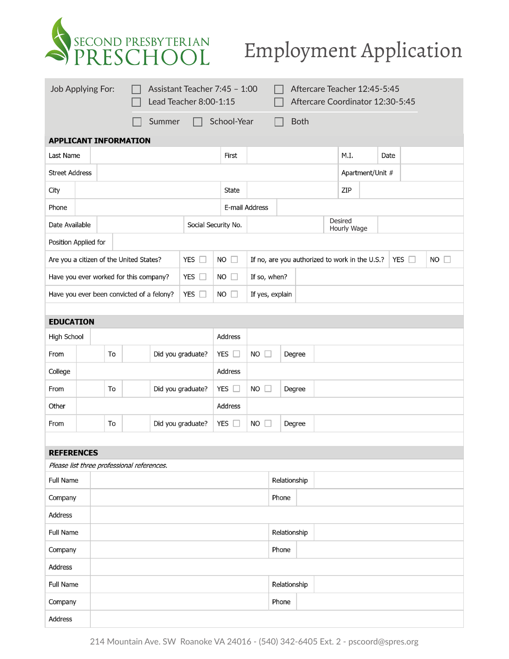

## Employment Application

| School-Year<br>Summer<br><b>Both</b><br><b>APPLICANT INFORMATION</b><br>M.I.<br>Last Name<br>First<br>Date<br><b>Street Address</b><br>Apartment/Unit #<br><b>State</b><br>ZIP<br>City<br>E-mail Address<br>Phone<br>Desired<br>Date Available<br>Social Security No.<br>Hourly Wage<br>Position Applied for<br>Are you a citizen of the United States?<br>YES $\square$<br><b>NO</b><br>If no, are you authorized to work in the U.S.?<br>YES $\square$<br>$NO$ $\Box$<br>$\Box$<br>If so, when?<br>Have you ever worked for this company?<br>YES $\square$<br><b>NO</b><br>$\Box$<br>Have you ever been convicted of a felony?<br>YES $\square$<br>If yes, explain<br>NO.<br>$\Box$<br><b>EDUCATION</b><br>High School<br>Address<br>YES $\square$<br>To<br>Did you graduate?<br>NO<br>From<br>Degree<br>$\mathbf{1}$<br>Address<br>College<br>YES $\square$<br>To<br>Did you graduate?<br><b>NO</b><br>From<br>Degree<br>Other<br>Address<br>Did you graduate?<br>YES $\square$<br>To<br>NO<br>Degree<br>From<br><b>REFERENCES</b><br>Please list three professional references. |
|-------------------------------------------------------------------------------------------------------------------------------------------------------------------------------------------------------------------------------------------------------------------------------------------------------------------------------------------------------------------------------------------------------------------------------------------------------------------------------------------------------------------------------------------------------------------------------------------------------------------------------------------------------------------------------------------------------------------------------------------------------------------------------------------------------------------------------------------------------------------------------------------------------------------------------------------------------------------------------------------------------------------------------------------------------------------------------------|
|                                                                                                                                                                                                                                                                                                                                                                                                                                                                                                                                                                                                                                                                                                                                                                                                                                                                                                                                                                                                                                                                                     |
|                                                                                                                                                                                                                                                                                                                                                                                                                                                                                                                                                                                                                                                                                                                                                                                                                                                                                                                                                                                                                                                                                     |
|                                                                                                                                                                                                                                                                                                                                                                                                                                                                                                                                                                                                                                                                                                                                                                                                                                                                                                                                                                                                                                                                                     |
|                                                                                                                                                                                                                                                                                                                                                                                                                                                                                                                                                                                                                                                                                                                                                                                                                                                                                                                                                                                                                                                                                     |
|                                                                                                                                                                                                                                                                                                                                                                                                                                                                                                                                                                                                                                                                                                                                                                                                                                                                                                                                                                                                                                                                                     |
|                                                                                                                                                                                                                                                                                                                                                                                                                                                                                                                                                                                                                                                                                                                                                                                                                                                                                                                                                                                                                                                                                     |
|                                                                                                                                                                                                                                                                                                                                                                                                                                                                                                                                                                                                                                                                                                                                                                                                                                                                                                                                                                                                                                                                                     |
|                                                                                                                                                                                                                                                                                                                                                                                                                                                                                                                                                                                                                                                                                                                                                                                                                                                                                                                                                                                                                                                                                     |
|                                                                                                                                                                                                                                                                                                                                                                                                                                                                                                                                                                                                                                                                                                                                                                                                                                                                                                                                                                                                                                                                                     |
|                                                                                                                                                                                                                                                                                                                                                                                                                                                                                                                                                                                                                                                                                                                                                                                                                                                                                                                                                                                                                                                                                     |
|                                                                                                                                                                                                                                                                                                                                                                                                                                                                                                                                                                                                                                                                                                                                                                                                                                                                                                                                                                                                                                                                                     |
|                                                                                                                                                                                                                                                                                                                                                                                                                                                                                                                                                                                                                                                                                                                                                                                                                                                                                                                                                                                                                                                                                     |
|                                                                                                                                                                                                                                                                                                                                                                                                                                                                                                                                                                                                                                                                                                                                                                                                                                                                                                                                                                                                                                                                                     |
|                                                                                                                                                                                                                                                                                                                                                                                                                                                                                                                                                                                                                                                                                                                                                                                                                                                                                                                                                                                                                                                                                     |
|                                                                                                                                                                                                                                                                                                                                                                                                                                                                                                                                                                                                                                                                                                                                                                                                                                                                                                                                                                                                                                                                                     |
|                                                                                                                                                                                                                                                                                                                                                                                                                                                                                                                                                                                                                                                                                                                                                                                                                                                                                                                                                                                                                                                                                     |
|                                                                                                                                                                                                                                                                                                                                                                                                                                                                                                                                                                                                                                                                                                                                                                                                                                                                                                                                                                                                                                                                                     |
|                                                                                                                                                                                                                                                                                                                                                                                                                                                                                                                                                                                                                                                                                                                                                                                                                                                                                                                                                                                                                                                                                     |
|                                                                                                                                                                                                                                                                                                                                                                                                                                                                                                                                                                                                                                                                                                                                                                                                                                                                                                                                                                                                                                                                                     |
|                                                                                                                                                                                                                                                                                                                                                                                                                                                                                                                                                                                                                                                                                                                                                                                                                                                                                                                                                                                                                                                                                     |
|                                                                                                                                                                                                                                                                                                                                                                                                                                                                                                                                                                                                                                                                                                                                                                                                                                                                                                                                                                                                                                                                                     |
|                                                                                                                                                                                                                                                                                                                                                                                                                                                                                                                                                                                                                                                                                                                                                                                                                                                                                                                                                                                                                                                                                     |
| Relationship<br><b>Full Name</b><br>Phone                                                                                                                                                                                                                                                                                                                                                                                                                                                                                                                                                                                                                                                                                                                                                                                                                                                                                                                                                                                                                                           |
| Company<br>Address                                                                                                                                                                                                                                                                                                                                                                                                                                                                                                                                                                                                                                                                                                                                                                                                                                                                                                                                                                                                                                                                  |
| <b>Full Name</b><br>Relationship                                                                                                                                                                                                                                                                                                                                                                                                                                                                                                                                                                                                                                                                                                                                                                                                                                                                                                                                                                                                                                                    |
|                                                                                                                                                                                                                                                                                                                                                                                                                                                                                                                                                                                                                                                                                                                                                                                                                                                                                                                                                                                                                                                                                     |
| Phone<br>Company                                                                                                                                                                                                                                                                                                                                                                                                                                                                                                                                                                                                                                                                                                                                                                                                                                                                                                                                                                                                                                                                    |
| Address<br><b>Full Name</b>                                                                                                                                                                                                                                                                                                                                                                                                                                                                                                                                                                                                                                                                                                                                                                                                                                                                                                                                                                                                                                                         |
| Relationship                                                                                                                                                                                                                                                                                                                                                                                                                                                                                                                                                                                                                                                                                                                                                                                                                                                                                                                                                                                                                                                                        |
| Company<br>Phone<br>Address                                                                                                                                                                                                                                                                                                                                                                                                                                                                                                                                                                                                                                                                                                                                                                                                                                                                                                                                                                                                                                                         |